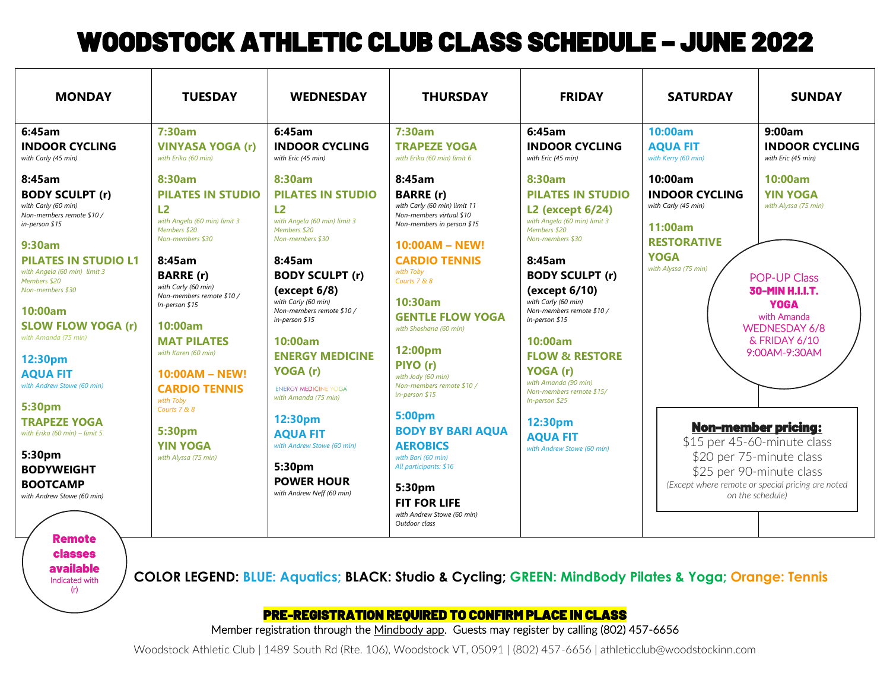## WOODSTOCK ATHLETIC CLUB CLASS SCHEDULE – JUNE 2022

| <b>MONDAY</b>                                                                                                                                                                                                                                                                                                                                  | <b>TUESDAY</b>                                                                                                                                                                                                                                                                                                      | <b>WEDNESDAY</b>                                                                                                                                                                                                                                                                                                          | <b>THURSDAY</b>                                                                                                                                                                                                                                                                                                                                         | <b>FRIDAY</b>                                                                                                                                                                                                                                                                                                                                                | <b>SATURDAY</b>                                                                                                                                                                            | <b>SUNDAY</b>                                                                                                                                                                        |
|------------------------------------------------------------------------------------------------------------------------------------------------------------------------------------------------------------------------------------------------------------------------------------------------------------------------------------------------|---------------------------------------------------------------------------------------------------------------------------------------------------------------------------------------------------------------------------------------------------------------------------------------------------------------------|---------------------------------------------------------------------------------------------------------------------------------------------------------------------------------------------------------------------------------------------------------------------------------------------------------------------------|---------------------------------------------------------------------------------------------------------------------------------------------------------------------------------------------------------------------------------------------------------------------------------------------------------------------------------------------------------|--------------------------------------------------------------------------------------------------------------------------------------------------------------------------------------------------------------------------------------------------------------------------------------------------------------------------------------------------------------|--------------------------------------------------------------------------------------------------------------------------------------------------------------------------------------------|--------------------------------------------------------------------------------------------------------------------------------------------------------------------------------------|
| 6:45am<br><b>INDOOR CYCLING</b><br>with Carly (45 min)                                                                                                                                                                                                                                                                                         | 7:30am<br><b>VINYASA YOGA (r)</b><br>with Erika (60 min)                                                                                                                                                                                                                                                            | 6:45am<br><b>INDOOR CYCLING</b><br>with Eric (45 min)                                                                                                                                                                                                                                                                     | 7:30am<br><b>TRAPEZE YOGA</b><br>with Erika (60 min) limit 6                                                                                                                                                                                                                                                                                            | 6:45am<br><b>INDOOR CYCLING</b><br>with Eric (45 min)                                                                                                                                                                                                                                                                                                        | 10:00am<br><b>AQUA FIT</b><br>with Kerry (60 min)                                                                                                                                          | 9:00am<br><b>INDOOR CYCLING</b><br>with Eric (45 min)                                                                                                                                |
| 8:45am<br><b>BODY SCULPT (r)</b><br>with Carly (60 min)<br>Non-members remote \$10/<br>in-person \$15<br>9:30am<br><b>PILATES IN STUDIO L1</b><br>with Angela (60 min) limit 3<br>Members \$20<br>Non-members \$30<br>10:00am<br><b>SLOW FLOW YOGA (r)</b><br>with Amanda (75 min)<br>12:30pm<br><b>AQUA FIT</b><br>with Andrew Stowe (60 min) | 8:30am<br><b>PILATES IN STUDIO</b><br>L2<br>with Angela (60 min) limit 3<br>Members \$20<br>Non-members \$30<br>8:45am<br><b>BARRE</b> (r)<br>with Carly (60 min)<br>Non-members remote \$10/<br>In-person \$15<br>10:00am<br><b>MAT PILATES</b><br>with Karen (60 min)<br>$10:00AM - NEW!$<br><b>CARDIO TENNIS</b> | 8:30am<br><b>PILATES IN STUDIO</b><br>L2<br>with Angela (60 min) limit 3<br>Members \$20<br>Non-members \$30<br>8:45am<br><b>BODY SCULPT (r)</b><br>(except 6/8)<br>with Carly (60 min)<br>Non-members remote \$10 /<br>$in$ -person \$15<br>10:00am<br><b>ENERGY MEDICINE</b><br>YOGA (r)<br><b>ENERGY MEDICINE YOGA</b> | 8:45am<br><b>BARRE</b> (r)<br>with Carly (60 min) limit 11<br>Non-members virtual \$10<br>Non-members in person \$15<br>10:00AM - NEW!<br><b>CARDIO TENNIS</b><br>with Toby<br>Courts 7 & 8<br>10:30am<br><b>GENTLE FLOW YOGA</b><br>with Shoshana (60 min)<br>12:00pm<br>PIYO (r)<br>with Jody (60 min)<br>Non-members remote \$10 /<br>in-person \$15 | 8:30am<br><b>PILATES IN STUDIO</b><br>L2 (except 6/24)<br>with Angela (60 min) limit 3<br>Members \$20<br>Non-members \$30<br>8:45am<br><b>BODY SCULPT (r)</b><br>(except 6/10)<br>with Carly (60 min)<br>Non-members remote \$10/<br>in-person \$15<br>10:00am<br><b>FLOW &amp; RESTORE</b><br>YOGA (r)<br>with Amanda (90 min)<br>Non-members remote \$15/ | 10:00am<br><b>INDOOR CYCLING</b><br>with Carly (45 min)<br>11:00am<br><b>RESTORATIVE</b><br><b>YOGA</b><br>with Alyssa (75 min)                                                            | 10:00am<br><b>YIN YOGA</b><br>with Alyssa (75 min)<br><b>POP-UP Class</b><br>30-MIN H.I.I.T.<br><b>YOGA</b><br>with Amanda<br><b>WEDNESDAY 6/8</b><br>& FRIDAY 6/10<br>9:00AM-9:30AM |
| 5:30pm<br><b>TRAPEZE YOGA</b><br>with Erika (60 min) - limit 5<br>5:30pm<br><b>BODYWEIGHT</b><br><b>BOOTCAMP</b><br>with Andrew Stowe (60 min)<br><b>Remote</b>                                                                                                                                                                                | with Toby<br>Courts 7 & 8<br>5:30pm<br><b>YIN YOGA</b><br>with Alyssa (75 min)                                                                                                                                                                                                                                      | with Amanda (75 min)<br>12:30pm<br><b>AQUA FIT</b><br>with Andrew Stowe (60 min)<br>5:30pm<br><b>POWER HOUR</b><br>with Andrew Neff (60 min)                                                                                                                                                                              | 5:00pm<br><b>BODY BY BARI AQUA</b><br><b>AEROBICS</b><br>with Bari (60 min)<br>All participants: \$16<br>5:30pm<br><b>FIT FOR LIFE</b><br>with Andrew Stowe (60 min)<br>Outdoor class                                                                                                                                                                   | In-person \$25<br>12:30pm<br><b>AQUA FIT</b><br>with Andrew Stowe (60 min)                                                                                                                                                                                                                                                                                   | <b>Non-member pricing:</b><br>\$15 per 45-60-minute class<br>\$20 per 75-minute class<br>\$25 per 90-minute class<br>(Except where remote or special pricing are noted<br>on the schedule) |                                                                                                                                                                                      |

PRE-REGISTRATION REQUIRED TO CONFIRM PLACE IN CLASS

Member registration through th[e Mindbody app.](https://explore.mindbodyonline.com/mindbody-app) Guests may register by calling (802) 457-6656

Woodstock Athletic Club | 1489 South Rd (Rte. 106), Woodstock VT, 05091 | (802) 457-6656 | athleticclub@woodstockinn.com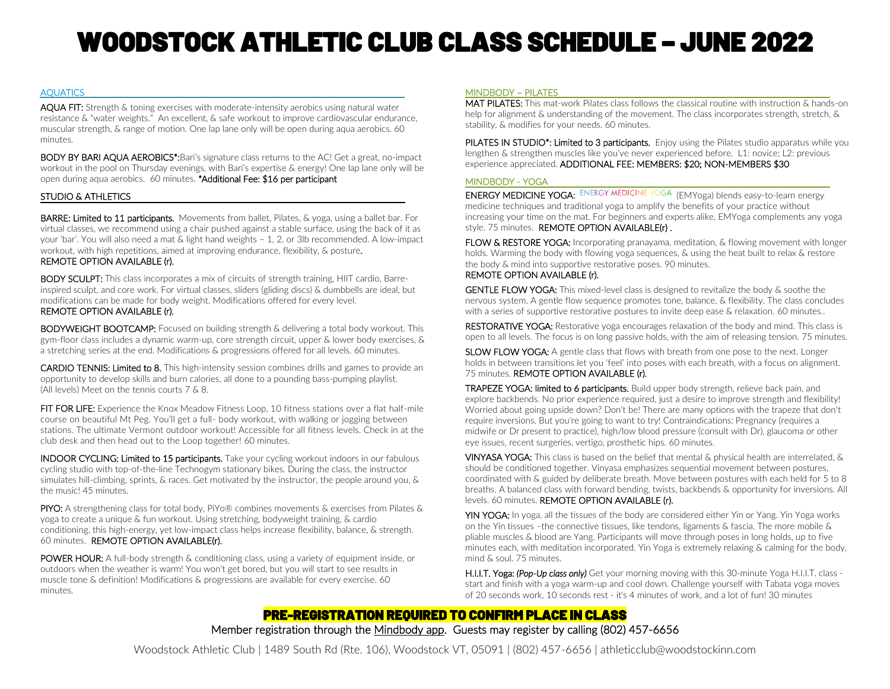# WOODSTOCK ATHLETIC CLUB CLASS SCHEDULE – JUNE 2022

#### **AQUATICS**

AQUA FIT: Strength & toning exercises with moderate-intensity aerobics using natural water resistance & "water weights." An excellent, & safe workout to improve cardiovascular endurance, muscular strength, & range of motion. One lap lane only will be open during aqua aerobics. 60 minutes.

BODY BY BARI AQUA AEROBICS\*:Bari's signature class returns to the AC! Get a great, no-impact workout in the pool on Thursday evenings, with Bari's expertise & energy! One lap lane only will be open during aqua aerobics. 60 minutes. *\**Additional Fee: \$16 per participant

#### STUDIO & ATHLETICS

BARRE: Limited to 11 participants*.* Movements from ballet, Pilates, & yoga, using a ballet bar. For virtual classes, we recommend using a chair pushed against a stable surface, using the back of it as your 'bar'. You will also need a mat & light hand weights – 1, 2, or 3lb recommended. A low-impact workout, with high repetitions, aimed at improving endurance, flexibility, & posture. REMOTE OPTION AVAILABLE (r).

BODY SCULPT:This class incorporates a mix of circuits of strength training, HIIT cardio, Barreinspired sculpt, and core work. For virtual classes, sliders (gliding discs) & dumbbells are ideal, but modifications can be made for body weight. Modifications offered for every level. REMOTE OPTION AVAILABLE (r).

BODYWEIGHT BOOTCAMP: Focused on building strength & delivering a total body workout. This gym-floor class includes a dynamic warm-up, core strength circuit, upper & lower body exercises, & a stretching series at the end. Modifications & progressions offered for all levels. 60 minutes.

CARDIO TENNIS: Limited to 8. This high-intensity session combines drills and games to provide an opportunity to develop skills and burn calories, all done to a pounding bass-pumping playlist. (All levels) Meet on the tennis courts 7 & 8.

FIT FOR LIFE: Experience the Knox Meadow Fitness Loop, 10 fitness stations over a flat half-mile course on beautiful Mt Peg. You'll get a full- body workout, with walking or jogging between stations. The ultimate Vermont outdoor workout! Accessible for all fitness levels. Check in at the club desk and then head out to the Loop together! 60 minutes.

**INDOOR CYCLING: Limited to 15 participants.** Take your cycling workout indoors in our fabulous cycling studio with top-of-the-line Technogym stationary bikes. During the class, the instructor simulates hill-climbing, sprints, & races. Get motivated by the instructor, the people around you, & the music! 45 minutes.

PIYO:A strengthening class for total body, PiYo® combines movements & exercises from Pilates & yoga to create a unique & fun workout. Using stretching, bodyweight training, & cardio conditioning, this high-energy, yet low-impact class helps increase flexibility, balance, & strength. 60 minutes. REMOTE OPTION AVAILABLE(r).

POWER HOUR: A full-body strength & conditioning class, using a variety of equipment inside, or outdoors when the weather is warm! You won't get bored, but you *will* start to see results in muscle tone & definition! Modifications & progressions are available for every exercise. 60 minutes.

#### MINDBODY – PILATES

MAT PILATES:This mat-work Pilates class follows the classical routine with instruction & hands-on help for alignment & understanding of the movement. The class incorporates strength, stretch, & stability, & modifies for your needs. 60 minutes.

PILATES IN STUDIO<sup>\*</sup>: Limited to 3 participants. Enjoy using the Pilates studio apparatus while you lengthen & strengthen muscles like you've never experienced before. L1: novice; L2: previous experience appreciated. ADDITIONAL FEE: MEMBERS: \$20; NON-MEMBERS \$30

#### MINDBODY - YOGA

ENERGY MEDICINE YOGA: ENERGY MEDICINE YOGA (EMYoga) blends easy-to-learn energy medicine techniques and traditional yoga to amplify the benefits of your practice without increasing your time on the mat. For beginners and experts alike, EMYoga complements any yoga style. 75 minutes. REMOTE OPTION AVAILABLE(r).

FLOW & RESTORE YOGA:Incorporating pranayama, meditation, & flowing movement with longer holds. Warming the body with flowing yoga sequences, & using the heat built to relax & restore the body & mind into supportive restorative poses. 90 minutes.

#### REMOTE OPTION AVAILABLE (r).

GENTLE FLOW YOGA: This mixed-level class is designed to revitalize the body & soothe the nervous system. A gentle flow sequence promotes tone, balance, & flexibility. The class concludes with a series of supportive restorative postures to invite deep ease & relaxation. 60 minutes..

RESTORATIVE YOGA: Restorative yoga encourages relaxation of the body and mind. This class is open to all levels. The focus is on long passive holds, with the aim of releasing tension. 75 minutes.

SLOW FLOW YOGA: A gentle class that flows with breath from one pose to the next. Longer holds in between transitions let you 'feel' into poses with each breath, with a focus on alignment. 75 minutes. REMOTE OPTION AVAILABLE (r).

TRAPEZE YOGA: limited to 6 participants. Build upper body strength, relieve back pain, and explore backbends. No prior experience required, just a desire to improve strength and flexibility! Worried about going upside down? Don't be! There are many options with the trapeze that don't require inversions. But you're going to want to try! Contraindications: Pregnancy (requires a midwife or Dr present to practice), high/low blood pressure (consult with Dr), glaucoma or other eye issues, recent surgeries, vertigo, prosthetic hips. 60 minutes.

VINYASA YOGA: This class is based on the belief that mental & physical health are interrelated, & should be conditioned together. Vinyasa emphasizes sequential movement between postures, coordinated with & guided by deliberate breath. Move between postures with each held for 5 to 8 breaths. A balanced class with forward bending, twists, backbends & opportunity for inversions. All levels. 60 minutes. REMOTE OPTION AVAILABLE (r).

YIN YOGA: In yoga, all the tissues of the body are considered either Yin or Yang. Yin Yoga works on the Yin tissues –the connective tissues, like tendons, ligaments & fascia. The more mobile & pliable muscles & blood are Yang. Participants will move through poses in long holds, up to five minutes each, with meditation incorporated. Yin Yoga is extremely relaxing & calming for the body, mind & soul. 75 minutes.

 H.I.I.T. Yoga: *(Pop-Up class only)* Get your morning moving with this 30-minute Yoga H.I.I.T. class start and finish with a yoga warm-up and cool down. Challenge yourself with Tabata yoga moves of 20 seconds work, 10 seconds rest - it's 4 minutes of work, and a lot of fun! 30 minutes

### PRE-REGISTRATION REQUIRED TO CONFIRM PLACE IN CLASS Member registration through th[e Mindbody app.](https://explore.mindbodyonline.com/mindbody-app) Guests may register by calling (802) 457-6656

Woodstock Athletic Club | 1489 South Rd (Rte. 106), Woodstock VT, 05091 | (802) 457-6656 | athleticclub@woodstockinn.com